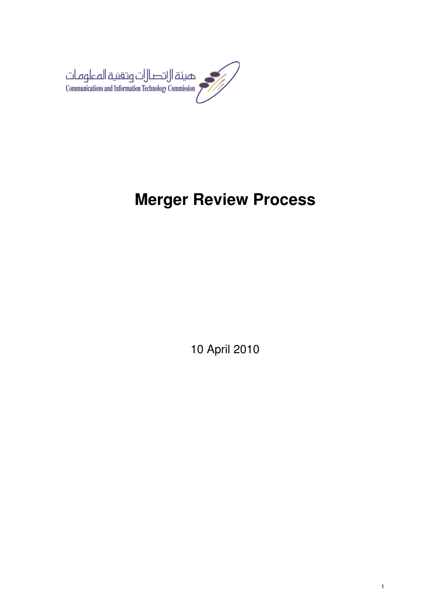

# **Merger Review Process**

10 April 2010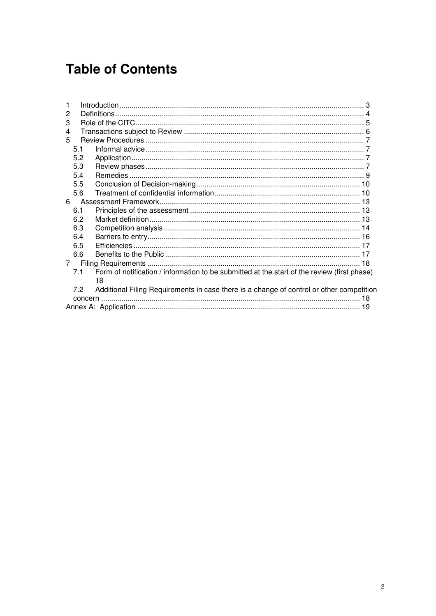# **Table of Contents**

| 1                                                                                                  |  |
|----------------------------------------------------------------------------------------------------|--|
| 2                                                                                                  |  |
| 3                                                                                                  |  |
| 4                                                                                                  |  |
| 5                                                                                                  |  |
| 5.1                                                                                                |  |
| 5.2                                                                                                |  |
| 5.3                                                                                                |  |
| 5.4                                                                                                |  |
| 5.5                                                                                                |  |
| 5.6                                                                                                |  |
| 6                                                                                                  |  |
| 6.1                                                                                                |  |
| 6.2                                                                                                |  |
| 6.3                                                                                                |  |
| 6.4                                                                                                |  |
| 6.5                                                                                                |  |
| 6.6                                                                                                |  |
| $7^{\circ}$                                                                                        |  |
| Form of notification / information to be submitted at the start of the review (first phase)<br>7.1 |  |
| 18                                                                                                 |  |
| 7.2<br>Additional Filing Requirements in case there is a change of control or other competition    |  |
|                                                                                                    |  |
|                                                                                                    |  |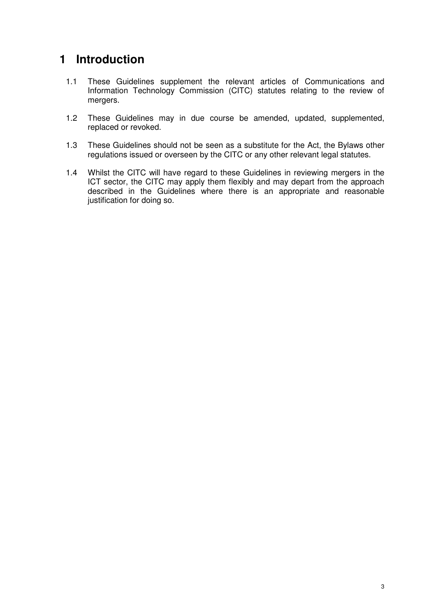# **1 Introduction**

- 1.1 These Guidelines supplement the relevant articles of Communications and Information Technology Commission (CITC) statutes relating to the review of mergers.
- 1.2 These Guidelines may in due course be amended, updated, supplemented, replaced or revoked.
- 1.3 These Guidelines should not be seen as a substitute for the Act, the Bylaws other regulations issued or overseen by the CITC or any other relevant legal statutes.
- 1.4 Whilst the CITC will have regard to these Guidelines in reviewing mergers in the ICT sector, the CITC may apply them flexibly and may depart from the approach described in the Guidelines where there is an appropriate and reasonable justification for doing so.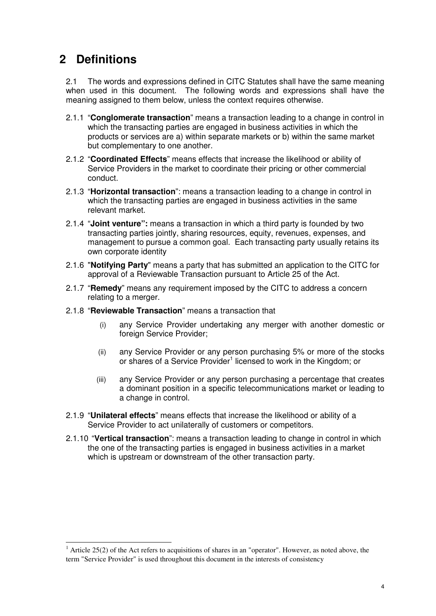# **2 Definitions**

l

2.1 The words and expressions defined in CITC Statutes shall have the same meaning when used in this document. The following words and expressions shall have the meaning assigned to them below, unless the context requires otherwise.

- 2.1.1 "**Conglomerate transaction**" means a transaction leading to a change in control in which the transacting parties are engaged in business activities in which the products or services are a) within separate markets or b) within the same market but complementary to one another.
- 2.1.2 "**Coordinated Effects**" means effects that increase the likelihood or ability of Service Providers in the market to coordinate their pricing or other commercial conduct.
- 2.1.3 "**Horizontal transaction**": means a transaction leading to a change in control in which the transacting parties are engaged in business activities in the same relevant market.
- 2.1.4 "**Joint venture":** means a transaction in which a third party is founded by two transacting parties jointly, sharing resources, equity, revenues, expenses, and management to pursue a common goal. Each transacting party usually retains its own corporate identity
- 2.1.6 "**Notifying Party**" means a party that has submitted an application to the CITC for approval of a Reviewable Transaction pursuant to Article 25 of the Act.
- 2.1.7 "**Remedy**" means any requirement imposed by the CITC to address a concern relating to a merger.
- 2.1.8 "**Reviewable Transaction**" means a transaction that
	- (i) any Service Provider undertaking any merger with another domestic or foreign Service Provider;
	- (ii) any Service Provider or any person purchasing 5% or more of the stocks or shares of a Service Provider<sup>1</sup> licensed to work in the Kingdom; or
	- (iii) any Service Provider or any person purchasing a percentage that creates a dominant position in a specific telecommunications market or leading to a change in control.
- 2.1.9 "**Unilateral effects**" means effects that increase the likelihood or ability of a Service Provider to act unilaterally of customers or competitors.
- 2.1.10 "**Vertical transaction**": means a transaction leading to change in control in which the one of the transacting parties is engaged in business activities in a market which is upstream or downstream of the other transaction party.

<sup>&</sup>lt;sup>1</sup> Article 25(2) of the Act refers to acquisitions of shares in an "operator". However, as noted above, the term "Service Provider" is used throughout this document in the interests of consistency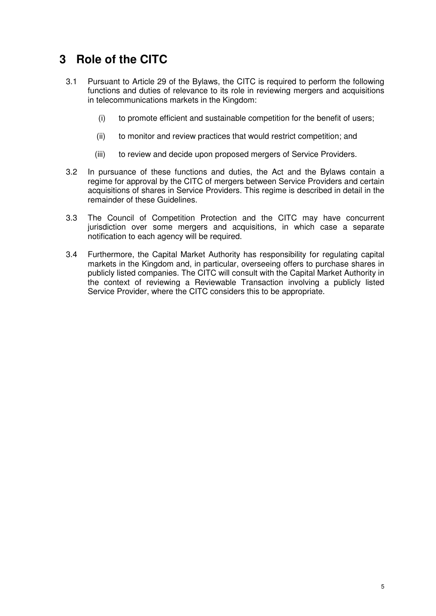# **3 Role of the CITC**

- 3.1 Pursuant to Article 29 of the Bylaws, the CITC is required to perform the following functions and duties of relevance to its role in reviewing mergers and acquisitions in telecommunications markets in the Kingdom:
	- (i) to promote efficient and sustainable competition for the benefit of users;
	- (ii) to monitor and review practices that would restrict competition; and
	- (iii) to review and decide upon proposed mergers of Service Providers.
- 3.2 In pursuance of these functions and duties, the Act and the Bylaws contain a regime for approval by the CITC of mergers between Service Providers and certain acquisitions of shares in Service Providers. This regime is described in detail in the remainder of these Guidelines.
- 3.3 The Council of Competition Protection and the CITC may have concurrent jurisdiction over some mergers and acquisitions, in which case a separate notification to each agency will be required.
- 3.4 Furthermore, the Capital Market Authority has responsibility for regulating capital markets in the Kingdom and, in particular, overseeing offers to purchase shares in publicly listed companies. The CITC will consult with the Capital Market Authority in the context of reviewing a Reviewable Transaction involving a publicly listed Service Provider, where the CITC considers this to be appropriate.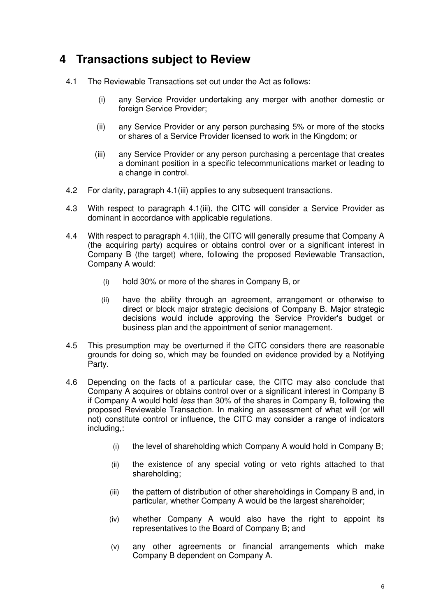# **4 Transactions subject to Review**

- 4.1 The Reviewable Transactions set out under the Act as follows:
	- (i) any Service Provider undertaking any merger with another domestic or foreign Service Provider:
	- (ii) any Service Provider or any person purchasing 5% or more of the stocks or shares of a Service Provider licensed to work in the Kingdom; or
	- (iii) any Service Provider or any person purchasing a percentage that creates a dominant position in a specific telecommunications market or leading to a change in control.
- 4.2 For clarity, paragraph 4.1(iii) applies to any subsequent transactions.
- 4.3 With respect to paragraph 4.1(iii), the CITC will consider a Service Provider as dominant in accordance with applicable regulations.
- 4.4 With respect to paragraph 4.1(iii), the CITC will generally presume that Company A (the acquiring party) acquires or obtains control over or a significant interest in Company B (the target) where, following the proposed Reviewable Transaction, Company A would:
	- (i) hold 30% or more of the shares in Company B, or
	- (ii) have the ability through an agreement, arrangement or otherwise to direct or block major strategic decisions of Company B. Major strategic decisions would include approving the Service Provider's budget or business plan and the appointment of senior management.
- 4.5 This presumption may be overturned if the CITC considers there are reasonable grounds for doing so, which may be founded on evidence provided by a Notifying Party.
- 4.6 Depending on the facts of a particular case, the CITC may also conclude that Company A acquires or obtains control over or a significant interest in Company B if Company A would hold less than 30% of the shares in Company B, following the proposed Reviewable Transaction. In making an assessment of what will (or will not) constitute control or influence, the CITC may consider a range of indicators including,:
	- (i) the level of shareholding which Company A would hold in Company B;
	- (ii) the existence of any special voting or veto rights attached to that shareholding;
	- (iii) the pattern of distribution of other shareholdings in Company B and, in particular, whether Company A would be the largest shareholder;
	- (iv) whether Company A would also have the right to appoint its representatives to the Board of Company B; and
	- (v) any other agreements or financial arrangements which make Company B dependent on Company A.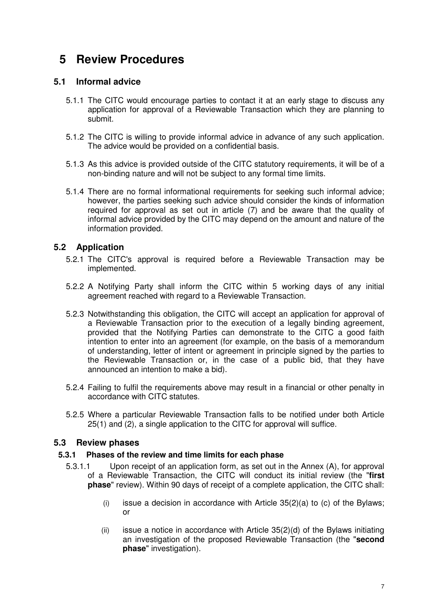# **5 Review Procedures**

# **5.1 Informal advice**

- 5.1.1 The CITC would encourage parties to contact it at an early stage to discuss any application for approval of a Reviewable Transaction which they are planning to submit.
- 5.1.2 The CITC is willing to provide informal advice in advance of any such application. The advice would be provided on a confidential basis.
- 5.1.3 As this advice is provided outside of the CITC statutory requirements, it will be of a non-binding nature and will not be subject to any formal time limits.
- 5.1.4 There are no formal informational requirements for seeking such informal advice; however, the parties seeking such advice should consider the kinds of information required for approval as set out in article (7) and be aware that the quality of informal advice provided by the CITC may depend on the amount and nature of the information provided.

# **5.2 Application**

- 5.2.1 The CITC's approval is required before a Reviewable Transaction may be implemented.
- 5.2.2 A Notifying Party shall inform the CITC within 5 working days of any initial agreement reached with regard to a Reviewable Transaction.
- 5.2.3 Notwithstanding this obligation, the CITC will accept an application for approval of a Reviewable Transaction prior to the execution of a legally binding agreement, provided that the Notifying Parties can demonstrate to the CITC a good faith intention to enter into an agreement (for example, on the basis of a memorandum of understanding, letter of intent or agreement in principle signed by the parties to the Reviewable Transaction or, in the case of a public bid, that they have announced an intention to make a bid).
- 5.2.4 Failing to fulfil the requirements above may result in a financial or other penalty in accordance with CITC statutes.
- 5.2.5 Where a particular Reviewable Transaction falls to be notified under both Article 25(1) and (2), a single application to the CITC for approval will suffice.

# **5.3 Review phases**

#### **5.3.1 Phases of the review and time limits for each phase**

- 5.3.1.1 Upon receipt of an application form, as set out in the Annex (A), for approval of a Reviewable Transaction, the CITC will conduct its initial review (the "**first phase**" review). Within 90 days of receipt of a complete application, the CITC shall:
	- (i) issue a decision in accordance with Article  $35(2)(a)$  to (c) of the Bylaws; or
	- (ii) issue a notice in accordance with Article  $35(2)(d)$  of the Bylaws initiating an investigation of the proposed Reviewable Transaction (the "**second phase**" investigation).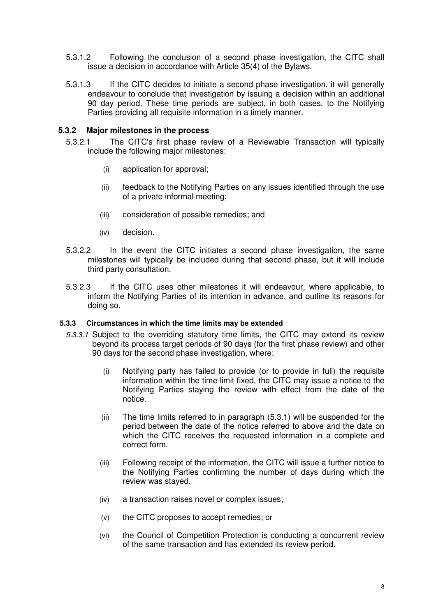- 5.3.1.2 Following the conclusion of a second phase investigation, the CITC shall issue a decision in accordance with Article 35(4) of the Bylaws.
- 5.3.1.3 If the CITC decides to initiate a second phase investigation, it will generally endeavour to conclude that investigation by issuing a decision within an additional 90 day period. These time periods are subject, in both cases, to the Notifying Parties providing all requisite information in a timely manner.

#### **5.3.2 Major milestones in the process**

- 5.3.2.1 The CITC's first phase review of a Reviewable Transaction will typically include the following major milestones:
	- (i) application for approval;
	- (ii) feedback to the Notifying Parties on any issues identified through the use of a private informal meeting;
	- (iii) consideration of possible remedies; and
	- (iv) decision.
- 5.3.2.2 In the event the CITC initiates a second phase investigation, the same milestones will typically be included during that second phase, but it will include third party consultation.
- 5.3.2.3 If the CITC uses other milestones it will endeavour, where applicable, to inform the Notifying Parties of its intention in advance, and outline its reasons for doing so.

#### **5.3.3 Circumstances in which the time limits may be extended**

- 5.3.3.1 Subject to the overriding statutory time limits, the CITC may extend its review beyond its process target periods of 90 days (for the first phase review) and other 90 days for the second phase investigation, where:
	- (i) Notifying party has failed to provide (or to provide in full) the requisite information within the time limit fixed, the CITC may issue a notice to the Notifying Parties staying the review with effect from the date of the notice.
	- (ii) The time limits referred to in paragraph (5.3.1) will be suspended for the period between the date of the notice referred to above and the date on which the CITC receives the requested information in a complete and correct form.
	- (iii) Following receipt of the information, the CITC will issue a further notice to the Notifying Parties confirming the number of days during which the review was stayed.
	- (iv) a transaction raises novel or complex issues;
	- (v) the CITC proposes to accept remedies; or
	- (vi) the Council of Competition Protection is conducting a concurrent review of the same transaction and has extended its review period.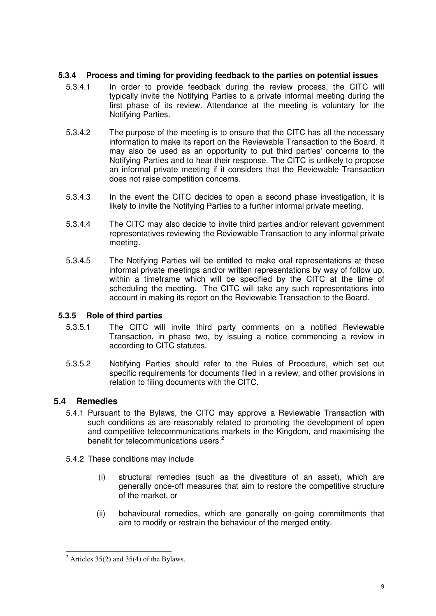# **5.3.4 Process and timing for providing feedback to the parties on potential issues**

- 5.3.4.1 In order to provide feedback during the review process, the CITC will typically invite the Notifying Parties to a private informal meeting during the first phase of its review. Attendance at the meeting is voluntary for the Notifying Parties.
- 5.3.4.2 The purpose of the meeting is to ensure that the CITC has all the necessary information to make its report on the Reviewable Transaction to the Board. It may also be used as an opportunity to put third parties' concerns to the Notifying Parties and to hear their response. The CITC is unlikely to propose an informal private meeting if it considers that the Reviewable Transaction does not raise competition concerns.
- 5.3.4.3 In the event the CITC decides to open a second phase investigation, it is likely to invite the Notifying Parties to a further informal private meeting.
- 5.3.4.4 The CITC may also decide to invite third parties and/or relevant government representatives reviewing the Reviewable Transaction to any informal private meeting.
- 5.3.4.5 The Notifying Parties will be entitled to make oral representations at these informal private meetings and/or written representations by way of follow up, within a timeframe which will be specified by the CITC at the time of scheduling the meeting. The CITC will take any such representations into account in making its report on the Reviewable Transaction to the Board.

# **5.3.5 Role of third parties**

- 5.3.5.1 The CITC will invite third party comments on a notified Reviewable Transaction, in phase two, by issuing a notice commencing a review in according to CITC statutes.
- 5.3.5.2 Notifying Parties should refer to the Rules of Procedure, which set out specific requirements for documents filed in a review, and other provisions in relation to filing documents with the CITC.

# **5.4 Remedies**

- 5.4.1 Pursuant to the Bylaws, the CITC may approve a Reviewable Transaction with such conditions as are reasonably related to promoting the development of open and competitive telecommunications markets in the Kingdom, and maximising the benefit for telecommunications users.<sup>2</sup>
- 5.4.2 These conditions may include
	- (i) structural remedies (such as the divestiture of an asset), which are generally once-off measures that aim to restore the competitive structure of the market, or
	- (ii) behavioural remedies, which are generally on-going commitments that aim to modify or restrain the behaviour of the merged entity.

l <sup>2</sup> Articles 35(2) and 35(4) of the Bylaws.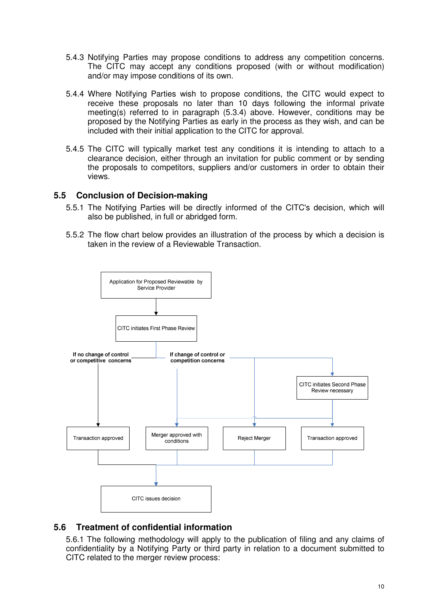- 5.4.3 Notifying Parties may propose conditions to address any competition concerns. The CITC may accept any conditions proposed (with or without modification) and/or may impose conditions of its own.
- 5.4.4 Where Notifying Parties wish to propose conditions, the CITC would expect to receive these proposals no later than 10 days following the informal private meeting(s) referred to in paragraph (5.3.4) above. However, conditions may be proposed by the Notifying Parties as early in the process as they wish, and can be included with their initial application to the CITC for approval.
- 5.4.5 The CITC will typically market test any conditions it is intending to attach to a clearance decision, either through an invitation for public comment or by sending the proposals to competitors, suppliers and/or customers in order to obtain their views.

# **5.5 Conclusion of Decision-making**

- 5.5.1 The Notifying Parties will be directly informed of the CITC's decision, which will also be published, in full or abridged form.
- 5.5.2 The flow chart below provides an illustration of the process by which a decision is taken in the review of a Reviewable Transaction.



# **5.6 Treatment of confidential information**

5.6.1 The following methodology will apply to the publication of filing and any claims of confidentiality by a Notifying Party or third party in relation to a document submitted to CITC related to the merger review process: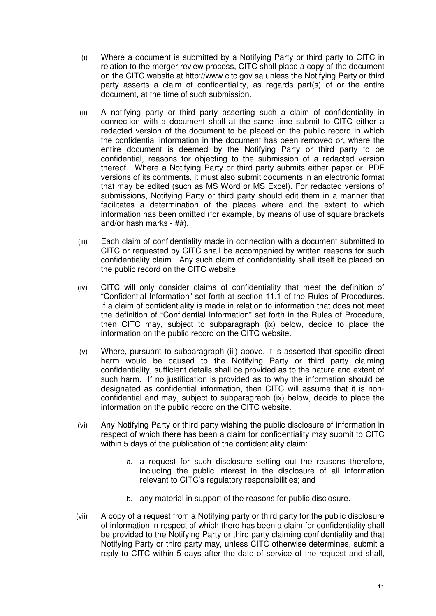- (i) Where a document is submitted by a Notifying Party or third party to CITC in relation to the merger review process, CITC shall place a copy of the document on the CITC website at http://www.citc.gov.sa unless the Notifying Party or third party asserts a claim of confidentiality, as regards part(s) of or the entire document, at the time of such submission.
- (ii) A notifying party or third party asserting such a claim of confidentiality in connection with a document shall at the same time submit to CITC either a redacted version of the document to be placed on the public record in which the confidential information in the document has been removed or, where the entire document is deemed by the Notifying Party or third party to be confidential, reasons for objecting to the submission of a redacted version thereof. Where a Notifying Party or third party submits either paper or .PDF versions of its comments, it must also submit documents in an electronic format that may be edited (such as MS Word or MS Excel). For redacted versions of submissions, Notifying Party or third party should edit them in a manner that facilitates a determination of the places where and the extent to which information has been omitted (for example, by means of use of square brackets and/or hash marks - ##).
- (iii) Each claim of confidentiality made in connection with a document submitted to CITC or requested by CITC shall be accompanied by written reasons for such confidentiality claim. Any such claim of confidentiality shall itself be placed on the public record on the CITC website.
- (iv) CITC will only consider claims of confidentiality that meet the definition of "Confidential Information" set forth at section 11.1 of the Rules of Procedures. If a claim of confidentiality is made in relation to information that does not meet the definition of "Confidential Information" set forth in the Rules of Procedure, then CITC may, subject to subparagraph (ix) below, decide to place the information on the public record on the CITC website.
- (v) Where, pursuant to subparagraph (iii) above, it is asserted that specific direct harm would be caused to the Notifying Party or third party claiming confidentiality, sufficient details shall be provided as to the nature and extent of such harm. If no justification is provided as to why the information should be designated as confidential information, then CITC will assume that it is nonconfidential and may, subject to subparagraph (ix) below, decide to place the information on the public record on the CITC website.
- (vi) Any Notifying Party or third party wishing the public disclosure of information in respect of which there has been a claim for confidentiality may submit to CITC within 5 days of the publication of the confidentiality claim:
	- a. a request for such disclosure setting out the reasons therefore, including the public interest in the disclosure of all information relevant to CITC's regulatory responsibilities; and
	- b. any material in support of the reasons for public disclosure.
- (vii) A copy of a request from a Notifying party or third party for the public disclosure of information in respect of which there has been a claim for confidentiality shall be provided to the Notifying Party or third party claiming confidentiality and that Notifying Party or third party may, unless CITC otherwise determines, submit a reply to CITC within 5 days after the date of service of the request and shall,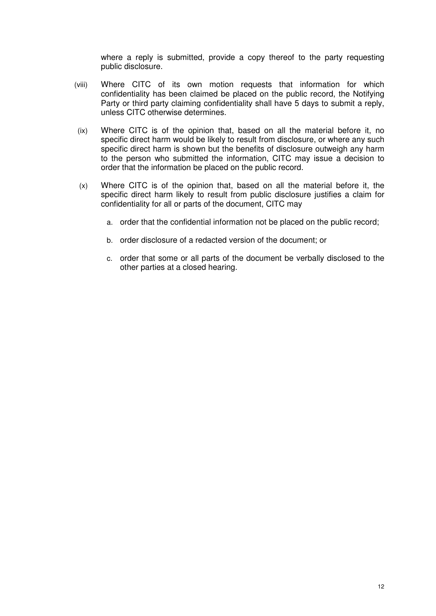where a reply is submitted, provide a copy thereof to the party requesting public disclosure.

- (viii) Where CITC of its own motion requests that information for which confidentiality has been claimed be placed on the public record, the Notifying Party or third party claiming confidentiality shall have 5 days to submit a reply, unless CITC otherwise determines.
- (ix) Where CITC is of the opinion that, based on all the material before it, no specific direct harm would be likely to result from disclosure, or where any such specific direct harm is shown but the benefits of disclosure outweigh any harm to the person who submitted the information, CITC may issue a decision to order that the information be placed on the public record.
- (x) Where CITC is of the opinion that, based on all the material before it, the specific direct harm likely to result from public disclosure justifies a claim for confidentiality for all or parts of the document, CITC may
	- a. order that the confidential information not be placed on the public record;
	- b. order disclosure of a redacted version of the document; or
	- c. order that some or all parts of the document be verbally disclosed to the other parties at a closed hearing.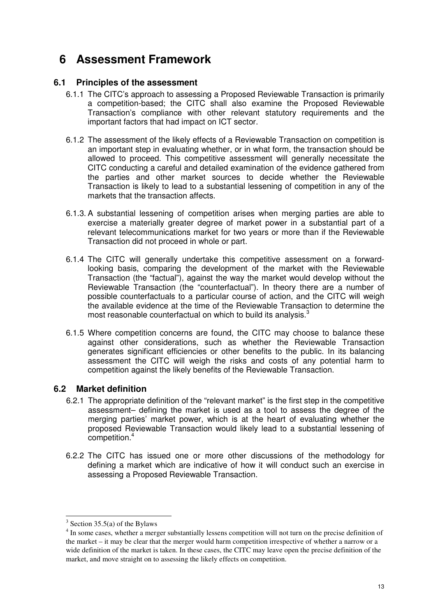# **6 Assessment Framework**

# **6.1 Principles of the assessment**

- 6.1.1 The CITC's approach to assessing a Proposed Reviewable Transaction is primarily a competition-based; the CITC shall also examine the Proposed Reviewable Transaction's compliance with other relevant statutory requirements and the important factors that had impact on ICT sector.
- 6.1.2 The assessment of the likely effects of a Reviewable Transaction on competition is an important step in evaluating whether, or in what form, the transaction should be allowed to proceed. This competitive assessment will generally necessitate the CITC conducting a careful and detailed examination of the evidence gathered from the parties and other market sources to decide whether the Reviewable Transaction is likely to lead to a substantial lessening of competition in any of the markets that the transaction affects.
- 6.1.3. A substantial lessening of competition arises when merging parties are able to exercise a materially greater degree of market power in a substantial part of a relevant telecommunications market for two years or more than if the Reviewable Transaction did not proceed in whole or part.
- 6.1.4 The CITC will generally undertake this competitive assessment on a forwardlooking basis, comparing the development of the market with the Reviewable Transaction (the "factual"), against the way the market would develop without the Reviewable Transaction (the "counterfactual"). In theory there are a number of possible counterfactuals to a particular course of action, and the CITC will weigh the available evidence at the time of the Reviewable Transaction to determine the most reasonable counterfactual on which to build its analysis.<sup>3</sup>
- 6.1.5 Where competition concerns are found, the CITC may choose to balance these against other considerations, such as whether the Reviewable Transaction generates significant efficiencies or other benefits to the public. In its balancing assessment the CITC will weigh the risks and costs of any potential harm to competition against the likely benefits of the Reviewable Transaction.

# **6.2 Market definition**

- 6.2.1 The appropriate definition of the "relevant market" is the first step in the competitive assessment– defining the market is used as a tool to assess the degree of the merging parties' market power, which is at the heart of evaluating whether the proposed Reviewable Transaction would likely lead to a substantial lessening of competition.<sup>4</sup>
- 6.2.2 The CITC has issued one or more other discussions of the methodology for defining a market which are indicative of how it will conduct such an exercise in assessing a Proposed Reviewable Transaction.

l

 $3$  Section 35.5(a) of the Bylaws

<sup>&</sup>lt;sup>4</sup> In some cases, whether a merger substantially lessens competition will not turn on the precise definition of the market – it may be clear that the merger would harm competition irrespective of whether a narrow or a wide definition of the market is taken. In these cases, the CITC may leave open the precise definition of the market, and move straight on to assessing the likely effects on competition.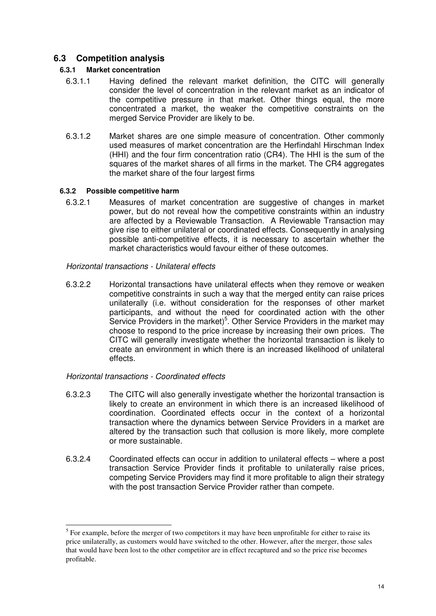# **6.3 Competition analysis**

# **6.3.1 Market concentration**

- 6.3.1.1 Having defined the relevant market definition, the CITC will generally consider the level of concentration in the relevant market as an indicator of the competitive pressure in that market. Other things equal, the more concentrated a market, the weaker the competitive constraints on the merged Service Provider are likely to be.
- 6.3.1.2 Market shares are one simple measure of concentration. Other commonly used measures of market concentration are the Herfindahl Hirschman Index (HHI) and the four firm concentration ratio (CR4). The HHI is the sum of the squares of the market shares of all firms in the market. The CR4 aggregates the market share of the four largest firms

### **6.3.2 Possible competitive harm**

6.3.2.1 Measures of market concentration are suggestive of changes in market power, but do not reveal how the competitive constraints within an industry are affected by a Reviewable Transaction. A Reviewable Transaction may give rise to either unilateral or coordinated effects. Consequently in analysing possible anti-competitive effects, it is necessary to ascertain whether the market characteristics would favour either of these outcomes.

### Horizontal transactions - Unilateral effects

6.3.2.2 Horizontal transactions have unilateral effects when they remove or weaken competitive constraints in such a way that the merged entity can raise prices unilaterally (i.e. without consideration for the responses of other market participants, and without the need for coordinated action with the other Service Providers in the market)<sup>5</sup>. Other Service Providers in the market may choose to respond to the price increase by increasing their own prices. The CITC will generally investigate whether the horizontal transaction is likely to create an environment in which there is an increased likelihood of unilateral effects.

# Horizontal transactions - Coordinated effects

l

- 6.3.2.3 The CITC will also generally investigate whether the horizontal transaction is likely to create an environment in which there is an increased likelihood of coordination. Coordinated effects occur in the context of a horizontal transaction where the dynamics between Service Providers in a market are altered by the transaction such that collusion is more likely, more complete or more sustainable.
- 6.3.2.4 Coordinated effects can occur in addition to unilateral effects where a post transaction Service Provider finds it profitable to unilaterally raise prices, competing Service Providers may find it more profitable to align their strategy with the post transaction Service Provider rather than compete.

 $<sup>5</sup>$  For example, before the merger of two competitors it may have been unprofitable for either to raise its</sup> price unilaterally, as customers would have switched to the other. However, after the merger, those sales that would have been lost to the other competitor are in effect recaptured and so the price rise becomes profitable.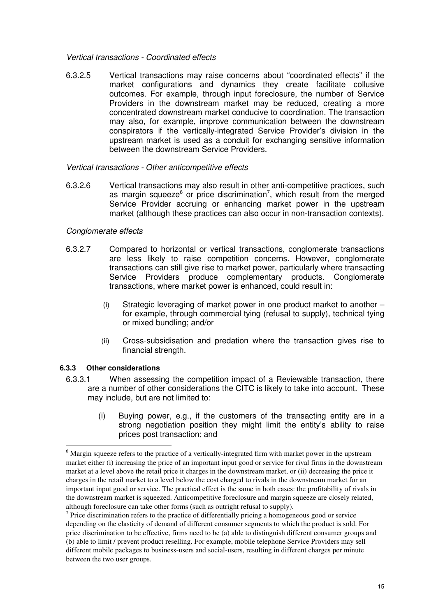#### Vertical transactions - Coordinated effects

6.3.2.5 Vertical transactions may raise concerns about "coordinated effects" if the market configurations and dynamics they create facilitate collusive outcomes. For example, through input foreclosure, the number of Service Providers in the downstream market may be reduced, creating a more concentrated downstream market conducive to coordination. The transaction may also, for example, improve communication between the downstream conspirators if the vertically-integrated Service Provider's division in the upstream market is used as a conduit for exchanging sensitive information between the downstream Service Providers.

#### Vertical transactions - Other anticompetitive effects

6.3.2.6 Vertical transactions may also result in other anti-competitive practices, such as margin squeeze $6$  or price discrimination<sup>7</sup>, which result from the merged Service Provider accruing or enhancing market power in the upstream market (although these practices can also occur in non-transaction contexts).

#### Conglomerate effects

- 6.3.2.7 Compared to horizontal or vertical transactions, conglomerate transactions are less likely to raise competition concerns. However, conglomerate transactions can still give rise to market power, particularly where transacting Service Providers produce complementary products. Conglomerate transactions, where market power is enhanced, could result in:
	- (i) Strategic leveraging of market power in one product market to another for example, through commercial tying (refusal to supply), technical tying or mixed bundling; and/or
	- (ii) Cross-subsidisation and predation where the transaction gives rise to financial strength.

#### **6.3.3 Other considerations**

l

- 6.3.3.1 When assessing the competition impact of a Reviewable transaction, there are a number of other considerations the CITC is likely to take into account. These may include, but are not limited to:
	- (i) Buying power, e.g., if the customers of the transacting entity are in a strong negotiation position they might limit the entity's ability to raise prices post transaction; and

<sup>&</sup>lt;sup>6</sup> Margin squeeze refers to the practice of a vertically-integrated firm with market power in the upstream market either (i) increasing the price of an important input good or service for rival firms in the downstream market at a level above the retail price it charges in the downstream market, or (ii) decreasing the price it charges in the retail market to a level below the cost charged to rivals in the downstream market for an important input good or service. The practical effect is the same in both cases: the profitability of rivals in the downstream market is squeezed. Anticompetitive foreclosure and margin squeeze are closely related, although foreclosure can take other forms (such as outright refusal to supply).

 $<sup>7</sup>$  Price discrimination refers to the practice of differentially pricing a homogeneous good or service</sup> depending on the elasticity of demand of different consumer segments to which the product is sold. For price discrimination to be effective, firms need to be (a) able to distinguish different consumer groups and (b) able to limit / prevent product reselling. For example, mobile telephone Service Providers may sell different mobile packages to business-users and social-users, resulting in different charges per minute between the two user groups.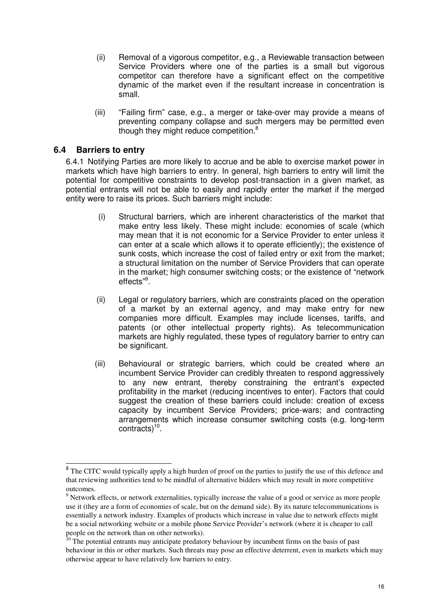- (ii) Removal of a vigorous competitor, e.g., a Reviewable transaction between Service Providers where one of the parties is a small but vigorous competitor can therefore have a significant effect on the competitive dynamic of the market even if the resultant increase in concentration is small.
- (iii) "Failing firm" case, e.g., a merger or take-over may provide a means of preventing company collapse and such mergers may be permitted even though they might reduce competition.<sup>8</sup>

# **6.4 Barriers to entry**

l

6.4.1 Notifying Parties are more likely to accrue and be able to exercise market power in markets which have high barriers to entry. In general, high barriers to entry will limit the potential for competitive constraints to develop post-transaction in a given market, as potential entrants will not be able to easily and rapidly enter the market if the merged entity were to raise its prices. Such barriers might include:

- (i) Structural barriers, which are inherent characteristics of the market that make entry less likely. These might include: economies of scale (which may mean that it is not economic for a Service Provider to enter unless it can enter at a scale which allows it to operate efficiently); the existence of sunk costs, which increase the cost of failed entry or exit from the market; a structural limitation on the number of Service Providers that can operate in the market; high consumer switching costs; or the existence of "network effects"<sup>9</sup>.
- (ii) Legal or regulatory barriers, which are constraints placed on the operation of a market by an external agency, and may make entry for new companies more difficult. Examples may include licenses, tariffs, and patents (or other intellectual property rights). As telecommunication markets are highly regulated, these types of regulatory barrier to entry can be significant.
- (iii) Behavioural or strategic barriers, which could be created where an incumbent Service Provider can credibly threaten to respond aggressively to any new entrant, thereby constraining the entrant's expected profitability in the market (reducing incentives to enter). Factors that could suggest the creation of these barriers could include: creation of excess capacity by incumbent Service Providers; price-wars; and contracting arrangements which increase consumer switching costs (e.g. long-term contracts)<sup>10</sup>.

<sup>&</sup>lt;sup>8</sup> The CITC would typically apply a high burden of proof on the parties to justify the use of this defence and that reviewing authorities tend to be mindful of alternative bidders which may result in more competitive outcomes.

<sup>&</sup>lt;sup>9</sup> Network effects, or network externalities, typically increase the value of a good or service as more people use it (they are a form of economies of scale, but on the demand side). By its nature telecommunications is essentially a network industry. Examples of products which increase in value due to network effects might be a social networking website or a mobile phone Service Provider's network (where it is cheaper to call people on the network than on other networks).

 $10$  The potential entrants may anticipate predatory behaviour by incumbent firms on the basis of past behaviour in this or other markets. Such threats may pose an effective deterrent, even in markets which may otherwise appear to have relatively low barriers to entry.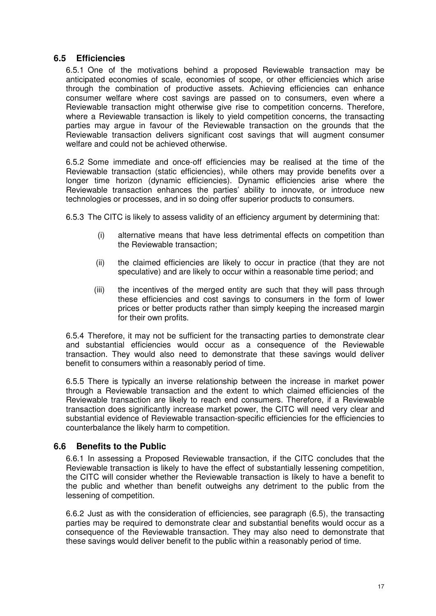# **6.5 Efficiencies**

6.5.1 One of the motivations behind a proposed Reviewable transaction may be anticipated economies of scale, economies of scope, or other efficiencies which arise through the combination of productive assets. Achieving efficiencies can enhance consumer welfare where cost savings are passed on to consumers, even where a Reviewable transaction might otherwise give rise to competition concerns. Therefore, where a Reviewable transaction is likely to yield competition concerns, the transacting parties may argue in favour of the Reviewable transaction on the grounds that the Reviewable transaction delivers significant cost savings that will augment consumer welfare and could not be achieved otherwise.

6.5.2 Some immediate and once-off efficiencies may be realised at the time of the Reviewable transaction (static efficiencies), while others may provide benefits over a longer time horizon (dynamic efficiencies). Dynamic efficiencies arise where the Reviewable transaction enhances the parties' ability to innovate, or introduce new technologies or processes, and in so doing offer superior products to consumers.

6.5.3 The CITC is likely to assess validity of an efficiency argument by determining that:

- (i) alternative means that have less detrimental effects on competition than the Reviewable transaction;
- (ii) the claimed efficiencies are likely to occur in practice (that they are not speculative) and are likely to occur within a reasonable time period; and
- (iii) the incentives of the merged entity are such that they will pass through these efficiencies and cost savings to consumers in the form of lower prices or better products rather than simply keeping the increased margin for their own profits.

6.5.4 Therefore, it may not be sufficient for the transacting parties to demonstrate clear and substantial efficiencies would occur as a consequence of the Reviewable transaction. They would also need to demonstrate that these savings would deliver benefit to consumers within a reasonably period of time.

6.5.5 There is typically an inverse relationship between the increase in market power through a Reviewable transaction and the extent to which claimed efficiencies of the Reviewable transaction are likely to reach end consumers. Therefore, if a Reviewable transaction does significantly increase market power, the CITC will need very clear and substantial evidence of Reviewable transaction-specific efficiencies for the efficiencies to counterbalance the likely harm to competition.

# **6.6 Benefits to the Public**

6.6.1 In assessing a Proposed Reviewable transaction, if the CITC concludes that the Reviewable transaction is likely to have the effect of substantially lessening competition, the CITC will consider whether the Reviewable transaction is likely to have a benefit to the public and whether than benefit outweighs any detriment to the public from the lessening of competition.

6.6.2 Just as with the consideration of efficiencies, see paragraph (6.5), the transacting parties may be required to demonstrate clear and substantial benefits would occur as a consequence of the Reviewable transaction. They may also need to demonstrate that these savings would deliver benefit to the public within a reasonably period of time.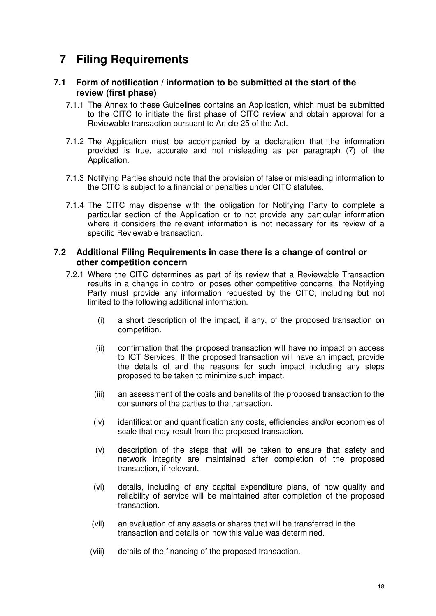# **7 Filing Requirements**

# **7.1 Form of notification / information to be submitted at the start of the review (first phase)**

- 7.1.1 The Annex to these Guidelines contains an Application, which must be submitted to the CITC to initiate the first phase of CITC review and obtain approval for a Reviewable transaction pursuant to Article 25 of the Act.
- 7.1.2 The Application must be accompanied by a declaration that the information provided is true, accurate and not misleading as per paragraph (7) of the Application.
- 7.1.3 Notifying Parties should note that the provision of false or misleading information to the CITC is subject to a financial or penalties under CITC statutes.
- 7.1.4 The CITC may dispense with the obligation for Notifying Party to complete a particular section of the Application or to not provide any particular information where it considers the relevant information is not necessary for its review of a specific Reviewable transaction.

### **7.2 Additional Filing Requirements in case there is a change of control or other competition concern**

- 7.2.1 Where the CITC determines as part of its review that a Reviewable Transaction results in a change in control or poses other competitive concerns, the Notifying Party must provide any information requested by the CITC, including but not limited to the following additional information.
	- (i) a short description of the impact, if any, of the proposed transaction on competition.
	- (ii) confirmation that the proposed transaction will have no impact on access to ICT Services. If the proposed transaction will have an impact, provide the details of and the reasons for such impact including any steps proposed to be taken to minimize such impact.
	- (iii) an assessment of the costs and benefits of the proposed transaction to the consumers of the parties to the transaction.
	- (iv) identification and quantification any costs, efficiencies and/or economies of scale that may result from the proposed transaction.
	- (v) description of the steps that will be taken to ensure that safety and network integrity are maintained after completion of the proposed transaction, if relevant.
	- (vi) details, including of any capital expenditure plans, of how quality and reliability of service will be maintained after completion of the proposed transaction.
	- (vii) an evaluation of any assets or shares that will be transferred in the transaction and details on how this value was determined.
	- (viii) details of the financing of the proposed transaction.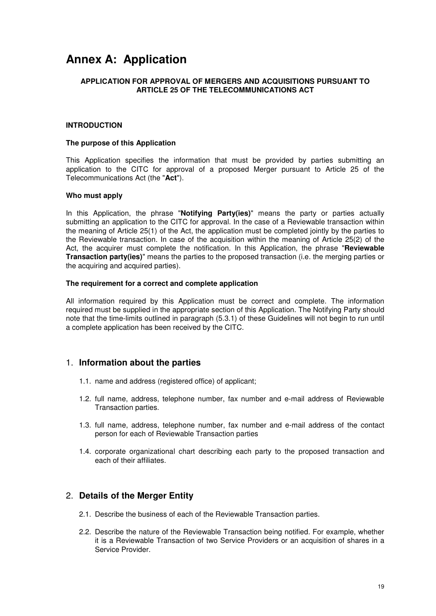# **Annex A: Application**

#### **APPLICATION FOR APPROVAL OF MERGERS AND ACQUISITIONS PURSUANT TO ARTICLE 25 OF THE TELECOMMUNICATIONS ACT**

#### **INTRODUCTION**

#### **The purpose of this Application**

This Application specifies the information that must be provided by parties submitting an application to the CITC for approval of a proposed Merger pursuant to Article 25 of the Telecommunications Act (the "**Act**").

#### **Who must apply**

In this Application, the phrase "**Notifying Party(ies)**" means the party or parties actually submitting an application to the CITC for approval. In the case of a Reviewable transaction within the meaning of Article 25(1) of the Act, the application must be completed jointly by the parties to the Reviewable transaction. In case of the acquisition within the meaning of Article 25(2) of the Act, the acquirer must complete the notification. In this Application, the phrase "**Reviewable Transaction party(ies)**" means the parties to the proposed transaction (i.e. the merging parties or the acquiring and acquired parties).

#### **The requirement for a correct and complete application**

All information required by this Application must be correct and complete. The information required must be supplied in the appropriate section of this Application. The Notifying Party should note that the time-limits outlined in paragraph (5.3.1) of these Guidelines will not begin to run until a complete application has been received by the CITC.

#### 1. **Information about the parties**

- 1.1. name and address (registered office) of applicant;
- 1.2. full name, address, telephone number, fax number and e-mail address of Reviewable Transaction parties.
- 1.3. full name, address, telephone number, fax number and e-mail address of the contact person for each of Reviewable Transaction parties
- 1.4. corporate organizational chart describing each party to the proposed transaction and each of their affiliates.

#### 2. **Details of the Merger Entity**

- 2.1. Describe the business of each of the Reviewable Transaction parties.
- 2.2. Describe the nature of the Reviewable Transaction being notified. For example, whether it is a Reviewable Transaction of two Service Providers or an acquisition of shares in a Service Provider.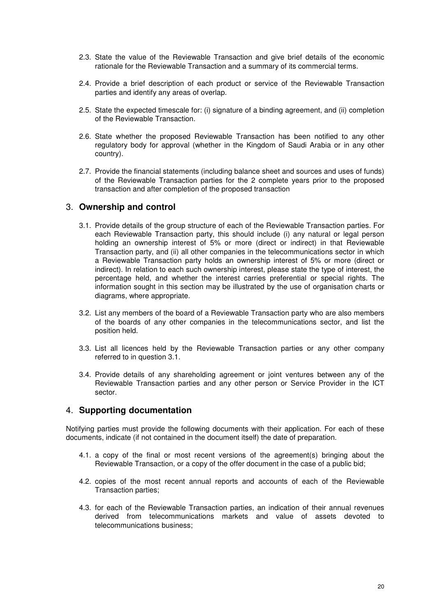- 2.3. State the value of the Reviewable Transaction and give brief details of the economic rationale for the Reviewable Transaction and a summary of its commercial terms.
- 2.4. Provide a brief description of each product or service of the Reviewable Transaction parties and identify any areas of overlap.
- 2.5. State the expected timescale for: (i) signature of a binding agreement, and (ii) completion of the Reviewable Transaction.
- 2.6. State whether the proposed Reviewable Transaction has been notified to any other regulatory body for approval (whether in the Kingdom of Saudi Arabia or in any other country).
- 2.7. Provide the financial statements (including balance sheet and sources and uses of funds) of the Reviewable Transaction parties for the 2 complete years prior to the proposed transaction and after completion of the proposed transaction

#### 3. **Ownership and control**

- 3.1. Provide details of the group structure of each of the Reviewable Transaction parties. For each Reviewable Transaction party, this should include (i) any natural or legal person holding an ownership interest of 5% or more (direct or indirect) in that Reviewable Transaction party, and (ii) all other companies in the telecommunications sector in which a Reviewable Transaction party holds an ownership interest of 5% or more (direct or indirect). In relation to each such ownership interest, please state the type of interest, the percentage held, and whether the interest carries preferential or special rights. The information sought in this section may be illustrated by the use of organisation charts or diagrams, where appropriate.
- 3.2. List any members of the board of a Reviewable Transaction party who are also members of the boards of any other companies in the telecommunications sector, and list the position held.
- 3.3. List all licences held by the Reviewable Transaction parties or any other company referred to in question 3.1.
- 3.4. Provide details of any shareholding agreement or joint ventures between any of the Reviewable Transaction parties and any other person or Service Provider in the ICT sector.

#### 4. **Supporting documentation**

Notifying parties must provide the following documents with their application. For each of these documents, indicate (if not contained in the document itself) the date of preparation.

- 4.1. a copy of the final or most recent versions of the agreement(s) bringing about the Reviewable Transaction, or a copy of the offer document in the case of a public bid;
- 4.2. copies of the most recent annual reports and accounts of each of the Reviewable Transaction parties;
- 4.3. for each of the Reviewable Transaction parties, an indication of their annual revenues derived from telecommunications markets and value of assets devoted to telecommunications business;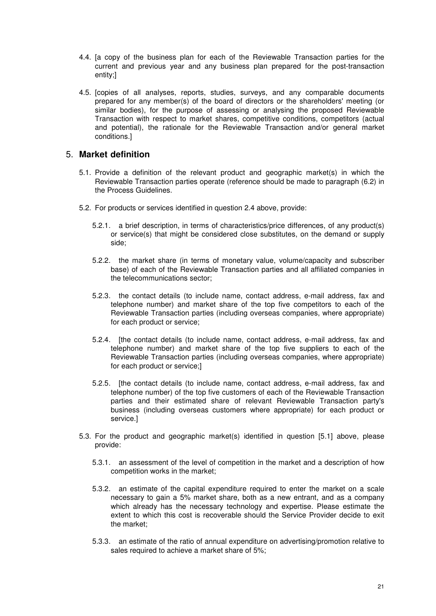- 4.4. [a copy of the business plan for each of the Reviewable Transaction parties for the current and previous year and any business plan prepared for the post-transaction entity;]
- 4.5. [copies of all analyses, reports, studies, surveys, and any comparable documents prepared for any member(s) of the board of directors or the shareholders' meeting (or similar bodies), for the purpose of assessing or analysing the proposed Reviewable Transaction with respect to market shares, competitive conditions, competitors (actual and potential), the rationale for the Reviewable Transaction and/or general market conditions.]

#### 5. **Market definition**

- 5.1. Provide a definition of the relevant product and geographic market(s) in which the Reviewable Transaction parties operate (reference should be made to paragraph (6.2) in the Process Guidelines.
- 5.2. For products or services identified in question 2.4 above, provide:
	- 5.2.1. a brief description, in terms of characteristics/price differences, of any product(s) or service(s) that might be considered close substitutes, on the demand or supply side;
	- 5.2.2. the market share (in terms of monetary value, volume/capacity and subscriber base) of each of the Reviewable Transaction parties and all affiliated companies in the telecommunications sector;
	- 5.2.3. the contact details (to include name, contact address, e-mail address, fax and telephone number) and market share of the top five competitors to each of the Reviewable Transaction parties (including overseas companies, where appropriate) for each product or service;
	- 5.2.4. [the contact details (to include name, contact address, e-mail address, fax and telephone number) and market share of the top five suppliers to each of the Reviewable Transaction parties (including overseas companies, where appropriate) for each product or service;]
	- 5.2.5. [the contact details (to include name, contact address, e-mail address, fax and telephone number) of the top five customers of each of the Reviewable Transaction parties and their estimated share of relevant Reviewable Transaction party's business (including overseas customers where appropriate) for each product or service.]
- 5.3. For the product and geographic market(s) identified in question [5.1] above, please provide:
	- 5.3.1. an assessment of the level of competition in the market and a description of how competition works in the market;
	- 5.3.2. an estimate of the capital expenditure required to enter the market on a scale necessary to gain a 5% market share, both as a new entrant, and as a company which already has the necessary technology and expertise. Please estimate the extent to which this cost is recoverable should the Service Provider decide to exit the market;
	- 5.3.3. an estimate of the ratio of annual expenditure on advertising/promotion relative to sales required to achieve a market share of 5%;